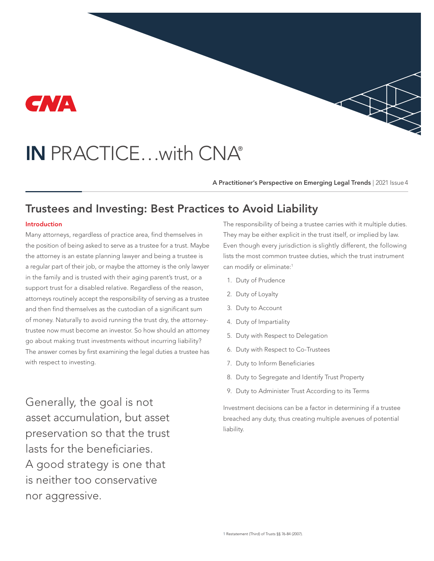

# IN PRACTICE…with CNA®

A Practitioner's Perspective on Emerging Legal Trends | 2021 Issue 4

# Trustees and Investing: Best Practices to Avoid Liability

#### Introduction

Many attorneys, regardless of practice area, find themselves in the position of being asked to serve as a trustee for a trust. Maybe the attorney is an estate planning lawyer and being a trustee is a regular part of their job, or maybe the attorney is the only lawyer in the family and is trusted with their aging parent's trust, or a support trust for a disabled relative. Regardless of the reason, attorneys routinely accept the responsibility of serving as a trustee and then find themselves as the custodian of a significant sum of money. Naturally to avoid running the trust dry, the attorneytrustee now must become an investor. So how should an attorney go about making trust investments without incurring liability? The answer comes by first examining the legal duties a trustee has with respect to investing.

Generally, the goal is not asset accumulation, but asset preservation so that the trust lasts for the beneficiaries. A good strategy is one that is neither too conservative nor aggressive.

The responsibility of being a trustee carries with it multiple duties. They may be either explicit in the trust itself, or implied by law. Even though every jurisdiction is slightly different, the following lists the most common trustee duties, which the trust instrument can modify or eliminate:<sup>1</sup>

- 1. Duty of Prudence
- 2. Duty of Loyalty
- 3. Duty to Account
- 4. Duty of Impartiality
- 5. Duty with Respect to Delegation
- 6. Duty with Respect to Co-Trustees
- 7. Duty to Inform Beneficiaries
- 8. Duty to Segregate and Identify Trust Property
- 9. Duty to Administer Trust According to its Terms

Investment decisions can be a factor in determining if a trustee breached any duty, thus creating multiple avenues of potential liability.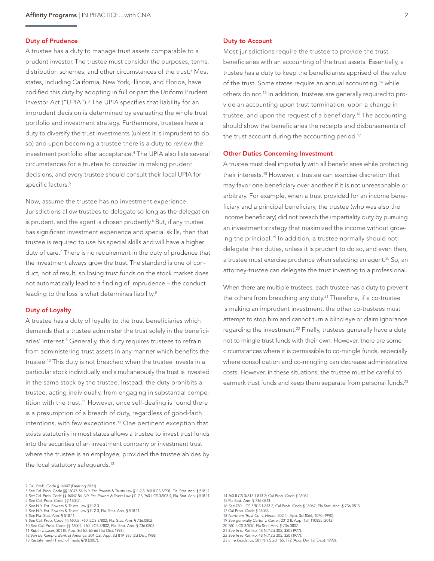#### Duty of Prudence

A trustee has a duty to manage trust assets comparable to a prudent investor. The trustee must consider the purposes, terms, distribution schemes, and other circumstances of the trust.2 Most states, including California, New York, Illinois, and Florida, have codified this duty by adopting in full or part the Uniform Prudent Investor Act ("UPIA").3 The UPIA specifies that liability for an imprudent decision is determined by evaluating the whole trust portfolio and investment strategy. Furthermore, trustees have a duty to diversify the trust investments (unless it is imprudent to do so) and upon becoming a trustee there is a duty to review the investment portfolio after acceptance.4 The UPIA also lists several circumstances for a trustee to consider in making prudent decisions, and every trustee should consult their local UPIA for specific factors.<sup>5</sup>

Now, assume the trustee has no investment experience. Jurisdictions allow trustees to delegate so long as the delegation is prudent, and the agent is chosen prudently.<sup>6</sup> But, if any trustee has significant investment experience and special skills, then that trustee is required to use his special skills and will have a higher duty of care.<sup>7</sup> There is no requirement in the duty of prudence that the investment always grow the trust. The standard is one of conduct, not of result, so losing trust funds on the stock market does not automatically lead to a finding of imprudence – the conduct leading to the loss is what determines liability.<sup>8</sup>

#### Duty of Loyalty

A trustee has a duty of loyalty to the trust beneficiaries which demands that a trustee administer the trust solely in the beneficiaries' interest.<sup>9</sup> Generally, this duty requires trustees to refrain from administering trust assets in any manner which benefits the trustee.10 This duty is not breached when the trustee invests in a particular stock individually and simultaneously the trust is invested in the same stock by the trustee. Instead, the duty prohibits a trustee, acting individually, from engaging in substantial competition with the trust.<sup>11</sup> However, once self-dealing is found there is a presumption of a breach of duty, regardless of good-faith intentions, with few exceptions.12 One pertinent exception that exists statutorily in most states allows a trustee to invest trust funds into the securities of an investment company or investment trust where the trustee is an employee, provided the trustee abides by the local statutory safeguards.<sup>13</sup>

3 *See* Cal. Prob. Code §§ 16047-54, N.Y. Est. Powers & Trusts Law §11-2.3, 760 ILCS 3/901, Fla. Stat. Ann. § 518.11. 4 *See* Cal. Prob. Code §§ 16047-54, N.Y. Est. Powers & Trusts Law §11-2.3, 760 ILCS 3/903-4, Fla. Stat. Ann. § 518.11. 5 *See* Cal. Prob. Code §§ 16047.

- 8 *See* Fla. Stat. Ann. § 518.11.
- 9 *See* Cal. Prob. Code §§ 16002, 760 ILCS 3/802, Fla. Stat. Ann. § 736.0802.
- 10 *See* Cal. Prob. Code §§ 16002, 760 ILCS 3/802, Fla. Stat. Ann. § 736.0802.
- 11 *Rubin v. Laser*, 301 Ill. App. 3d 60, 65-66 (1st Dist. 1998).
- 12 *Van de Kamp v. Bank of America*, 204 Cal. App. 3d 819, 835 (2d Dist. 1988). 13 Restatement (Third) of Trusts §78 (2007).

#### Duty to Account

Most jurisdictions require the trustee to provide the trust beneficiaries with an accounting of the trust assets. Essentially, a trustee has a duty to keep the beneficiaries apprised of the value of the trust. Some states require an annual accounting,<sup>14</sup> while others do not.15 In addition, trustees are generally required to provide an accounting upon trust termination, upon a change in trustee, and upon the request of a beneficiary.<sup>16</sup> The accounting should show the beneficiaries the receipts and disbursements of the trust account during the accounting period.<sup>17</sup>

#### Other Duties Concerning Investment

A trustee must deal impartially with all beneficiaries while protecting their interests.18 However, a trustee can exercise discretion that may favor one beneficiary over another if it is not unreasonable or arbitrary. For example, when a trust provided for an income beneficiary and a principal beneficiary, the trustee (who was also the income beneficiary) did not breach the impartiality duty by pursuing an investment strategy that maximized the income without growing the principal.<sup>19</sup> In addition, a trustee normally should not delegate their duties, unless it is prudent to do so, and even then, a trustee must exercise prudence when selecting an agent.<sup>20</sup> So, an attorney-trustee can delegate the trust investing to a professional.

When there are multiple trustees, each trustee has a duty to prevent the others from breaching any duty.<sup>21</sup> Therefore, if a co-trustee is making an imprudent investment, the other co-trustees must attempt to stop him and cannot turn a blind eye or claim ignorance regarding the investment.<sup>22</sup> Finally, trustees generally have a duty not to mingle trust funds with their own. However, there are some circumstances where it is permissible to co-mingle funds, especially where consolidation and co-mingling can decrease administrative costs. However, in these situations, the trustee must be careful to earmark trust funds and keep them separate from personal funds.<sup>23</sup>

- 14 760 ILCS 3/813.1-813.2; Cal Prob. Code § 16062. 15 Fla Stat. Ann. § 736.0813.
- 16 *See* 760 ILCS 3/813.1-813.2, Cal Prob. Code § 16062, Fla Stat. Ann. § 736.0813.
- 17 Cal Prob. Code § 16063
- 18 *Northern Trust Co. v. Heuer*, 202 Ill. App. 3d 1066, 1070 (1990). 19 *See generally Carter v. Carter*, 2012 IL App (1st) 110855 (2012).
- 20 760 ILCS 3/807; Fla Stat. Ann. § 736.0807.
- 21 *See In re Rothko*, 43 N.Y.2d 305, 320 (1977).
- 22 *See In re Rothko*, 43 N.Y.2d 305, 320 (1977).
- 23 *In re Goldstick*, 581 N.Y.S.2d 165, 172 (App. Div. 1st Dept. 1992).

<sup>2</sup> Cal. Prob. Code § 16047 (Deering 2021).

<sup>6</sup> *See* N.Y. Est. Powers & Trusts Law §11-2.3. 7 *See* N.Y. Est. Powers & Trusts Law §11-2.3, Fla. Stat. Ann. § 518.11.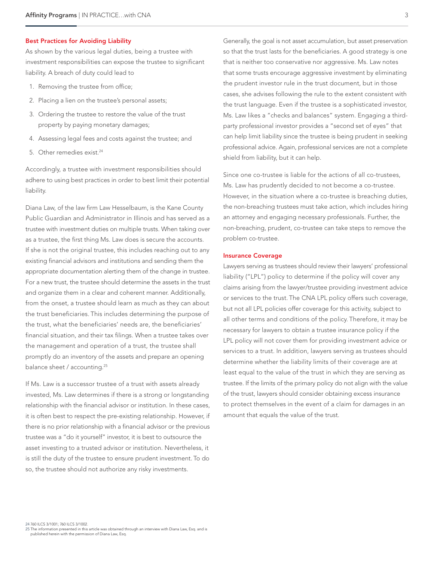#### Best Practices for Avoiding Liability

As shown by the various legal duties, being a trustee with investment responsibilities can expose the trustee to significant liability. A breach of duty could lead to

- 1. Removing the trustee from office;
- 2. Placing a lien on the trustee's personal assets;
- 3. Ordering the trustee to restore the value of the trust property by paying monetary damages;
- 4. Assessing legal fees and costs against the trustee; and
- 5. Other remedies exist.<sup>24</sup>

Accordingly, a trustee with investment responsibilities should adhere to using best practices in order to best limit their potential liability.

Diana Law, of the law firm Law Hesselbaum, is the Kane County Public Guardian and Administrator in Illinois and has served as a trustee with investment duties on multiple trusts. When taking over as a trustee, the first thing Ms. Law does is secure the accounts. If she is not the original trustee, this includes reaching out to any existing financial advisors and institutions and sending them the appropriate documentation alerting them of the change in trustee. For a new trust, the trustee should determine the assets in the trust and organize them in a clear and coherent manner. Additionally, from the onset, a trustee should learn as much as they can about the trust beneficiaries. This includes determining the purpose of the trust, what the beneficiaries' needs are, the beneficiaries' financial situation, and their tax filings. When a trustee takes over the management and operation of a trust, the trustee shall promptly do an inventory of the assets and prepare an opening balance sheet / accounting.<sup>25</sup>

If Ms. Law is a successor trustee of a trust with assets already invested, Ms. Law determines if there is a strong or longstanding relationship with the financial advisor or institution. In these cases, it is often best to respect the pre-existing relationship. However, if there is no prior relationship with a financial advisor or the previous trustee was a "do it yourself" investor, it is best to outsource the asset investing to a trusted advisor or institution. Nevertheless, it is still the duty of the trustee to ensure prudent investment. To do so, the trustee should not authorize any risky investments.

Generally, the goal is not asset accumulation, but asset preservation so that the trust lasts for the beneficiaries. A good strategy is one that is neither too conservative nor aggressive. Ms. Law notes that some trusts encourage aggressive investment by eliminating the prudent investor rule in the trust document, but in those cases, she advises following the rule to the extent consistent with the trust language. Even if the trustee is a sophisticated investor, Ms. Law likes a "checks and balances" system. Engaging a thirdparty professional investor provides a "second set of eyes" that can help limit liability since the trustee is being prudent in seeking professional advice. Again, professional services are not a complete shield from liability, but it can help.

Since one co-trustee is liable for the actions of all co-trustees, Ms. Law has prudently decided to not become a co-trustee. However, in the situation where a co-trustee is breaching duties, the non-breaching trustees must take action, which includes hiring an attorney and engaging necessary professionals. Further, the non-breaching, prudent, co-trustee can take steps to remove the problem co-trustee.

#### Insurance Coverage

Lawyers serving as trustees should review their lawyers' professional liability ("LPL") policy to determine if the policy will cover any claims arising from the lawyer/trustee providing investment advice or services to the trust. The CNA LPL policy offers such coverage, but not all LPL policies offer coverage for this activity, subject to all other terms and conditions of the policy. Therefore, it may be necessary for lawyers to obtain a trustee insurance policy if the LPL policy will not cover them for providing investment advice or services to a trust. In addition, lawyers serving as trustees should determine whether the liability limits of their coverage are at least equal to the value of the trust in which they are serving as trustee. If the limits of the primary policy do not align with the value of the trust, lawyers should consider obtaining excess insurance to protect themselves in the event of a claim for damages in an amount that equals the value of the trust.

25 The information presented in this article was obtained through an interview with Diana Law, Esq. and is published herein with the permission of Diana Law, Esq.

<sup>24 760</sup> ILCS 3/1001; 760 ILCS 3/1002.